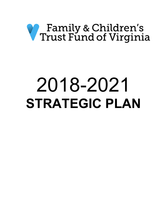# *V* Family & Children's<br>V Trust Fund of Virginia

## 2018-2021 **STRATEGIC PLAN**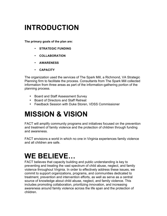## **INTRODUCTION**

**The primary goals of the plan are:**

- **STRATEGIC FUNDING**
- **COLLABORATION**
- **AWARENESS**
- **CAPACITY**

The organization used the services of The Spark Mill, a Richmond, VA Strategic Planning firm to facilitate the process. Consultants from The Spark Mill collected information from three areas as part of the information-gathering portion of the planning process.

- Board and Staff Assessment Survey
- Board of Directors and Staff Retreat
- Feedback Session with Duke Storen, VDSS Commissioner

## **MISSION & VISION**

FACT will amplify community programs and initiatives focused on the prevention and treatment of family violence and the protection of children through funding and awareness.

FACT envisions a world in which no one in Virginia experiences family violence and all children are safe.

## **WE BELIEVE…**

FACT believes that capacity building and public understanding is key to preventing and treating the vast spectrum of child abuse, neglect, and family violence throughout Virginia. In order to effectively address these issues, we commit to support organizations, programs, and communities dedicated to treatment, prevention and intervention efforts, as well as serve as a central source of knowledge about child abuse, neglect, and family violence. This includes promoting collaboration, prioritizing innovation, and increasing awareness around family violence across the life span and the protection of children.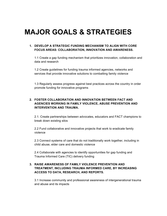## **MAJOR GOALS & STRATEGIES**

#### **1. DEVELOP A STRATEGIC FUNDING MECHANISM TO ALIGN WITH CORE FOCUS AREAS: COLLABORATION, INNOVATION AND AWARENESS.**

1.1 Create a gap funding mechanism that prioritizes innovation, collaboration and data and research

1.2 Create guidelines for funding trauma informed agencies, networks and services that provide innovative solutions to combatting family violence

1.3 Regularly assess progress against best practices across the country in order promote funding for innovative programs

#### **2. FOSTER COLLABORATION AND INNOVATION BETWEEN FACT AND AGENCIES WORKING IN FAMILY VIOLENCE, ABUSE PREVENTION AND INTERVENTION AND TRAUMA.**

2.1. Create partnerships between advocates, educators and FACT champions to break down existing silos

2.2 Fund collaborative and innovative projects that work to eradicate family violence

2.3 Connect systems of care that do not traditionally work together, including in child abuse, elder care and domestic violence

2.4 Collaborate with agencies to identify opportunities for gap funding and Trauma Informed Care (TIC) delivery funding

#### **3. RAISE AWARENESS OF FAMILY VIOLENCE PREVENTION AND TREATMENT, INCLUDING TRAUMA INFORMED CARE, BY INCREASING ACCESS TO DATA, RESEARCH, AND REPORTS.**

3.1 Increase community and professional awareness of intergenerational trauma and abuse and its impacts